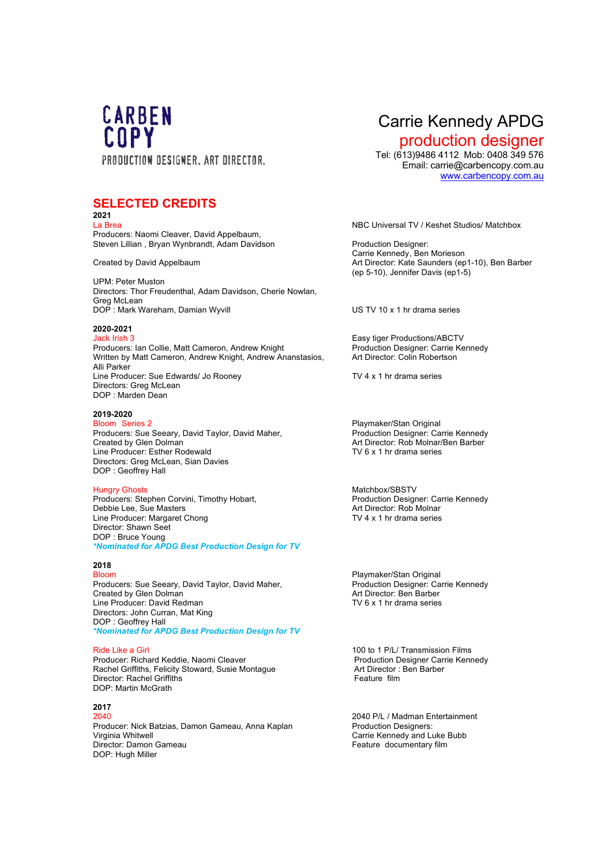

## **SELECTED CREDITS**

**2021** La Brea NBC Universal TV / Keshet Studios/ Matchbox Producers: Naomi Cleaver, David Appelbaum, Steven Lillian , Bryan Wynbrandt, Adam Davidson Production Designer:

UPM: Peter Muston Directors: Thor Freudenthal, Adam Davidson, Cherie Nowlan, Greg McLean DOP : Mark Wareham, Damian Wyvill US TV 10 x 1 hr drama series

### **2020-2021**

Jack Irish 3 Easy tiger Productions/ABCTV Producers: Ian Collie, Matt Cameron, Andrew Knight Production Designer: Carrie Kennedy<br>
Written by Matt Cameron, Andrew Knight, Andrew Ananstasios. Art Director: Colin Robertson Written by Matt Cameron, Andrew Knight, Andrew Ananstasios, Alli Parker Line Producer: Sue Edwards/ Jo Rooney TV 4 x 1 hr drama series Directors: Greg McLean DOP : Marden Dean

## **2019-2020**

Producers: Sue Seeary, David Taylor, David Maher,<br>Created by Glen Dolman Line Producer: Esther Rodewald **TV 6 x 1 hr drama series** Directors: Greg McLean, Sian Davies DOP : Geoffrey Hall

Producers: Stephen Corvini, Timothy Hobart, New Motor (Production Designer: Carrie Arr Director: Carrie Carrie Carrie Arr Director: Rob Molnar Debbie Lee, Sue Masters (and the contract of the contract of the contract of the contract of the contract of the contract of the contract of the contract of the contract of the contract of the contract of the contract of t Line Producer: Margaret Chong Director: Shawn Seet DOP : Bruce Young *\*Nominated for APDG Best Production Design for TV*

### **2018**

Producers: Sue Seeary, David Taylor, David Maher, Production Designer: Carrie Kennedy<br>Created by Glen Dolman Created by Glen Dolman Created by Glen Dolman Created by Glen Dolman Art Director: Ben Barber<br>
Line Producer: David Redman Art Director: Ben Barber<br>
Art Director: Ben Barber Line Producer: David Redman Directors: John Curran, Mat King DOP : Geoffrey Hall *\*Nominated for APDG Best Production Design for TV* 

Producer: Richard Keddie, Naomi Cleaver Production Designer Carrie Rachel Griffiths, Felicity Stoward, Susie Montague **Production Designer Carrie Rachel** Carrie Rachel Griffiths, Felicity Stoward, Susie Montague **Productio** Rachel Griffiths, Felicity Stoward, Susie Montague **Art Director :** Art Director :<br>Director: Rachel Griffiths Director: Rachel Griffiths DOP: Martin McGrath

## **2017**

Producer: Nick Batzias, Damon Gameau, Anna Kaplan Production Designers:<br>Virginia Whitwell Carrie Kennedy and Lu Virginia Whitwell<br>
Director: Damon Gameau<br>
Carrie Kennedy and Luke Bubb<br>
Feature documentary film DOP: Hugh Miller

# Carrie Kennedy APDG

**production designer**<br>Tel: (613)9486 4112 Mob: 0408 349 576 Email: carrie@carbencopy.com.au www.carbencopy.com.au

Carrie Kennedy, Ben Morieson Created by David Appelbaum Art Director: Kate Saunders (ep1-10), Ben Barber (ep 5-10), Jennifer Davis (ep1-5)

Playmaker/Stan Original<br>Production Designer: Carrie Kennedy Created by Glen Dolman Art Director: Rob Molnar/Ben Barber

Hungry Ghosts<br>
Producers: Stephen Corvini, Timothy Hobart.<br>
Production Designer: Carrie Kennedy

Bloom **Playmaker/Stan Original** 

Ride Like a Girl<br>
Producer: Richard Keddie, Naomi Cleaver<br>
Producer: Richard Keddie, Naomi Cleaver<br>
Production Designer Carrie Kennedy

2040 2040 P/L / Madman Entertainment Feature documentary film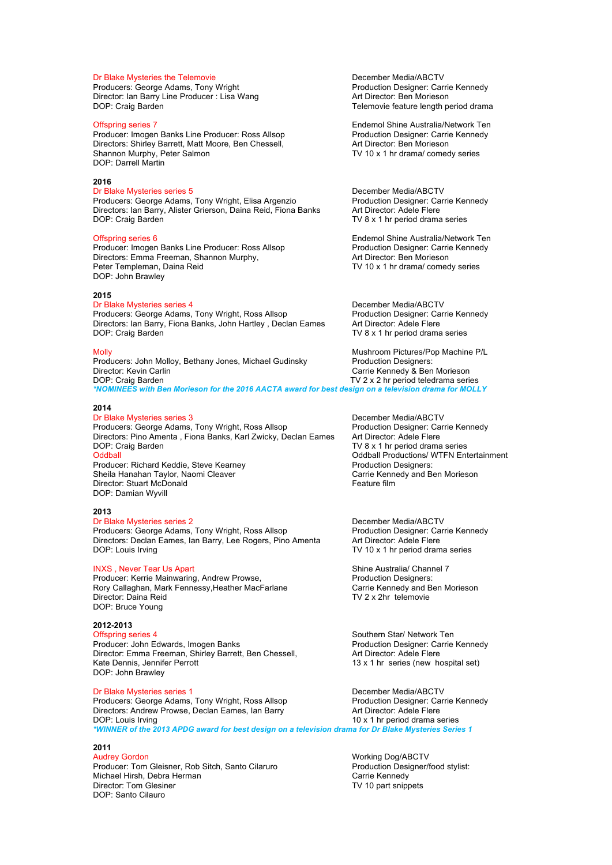Producers: George Adams, Tony Wright Production Designer: Carrie Production Designer: Carrie Producer : Lisa Wang<br>Production Director: Ian Barry Line Producer : Lisa Wang Director: Ian Barry Line Producer : Lisa Wang<br>DOP: Craig Barden

Producer: Imogen Banks Line Producer: Ross Allsop Production Designer: Carri<br>Directors: Shirley Barrett, Matt Moore, Ben Chessell, Art Director: Ben Morieson Directors: Shirley Barrett, Matt Moore, Ben Chessell,<br>Shannon Murphy, Peter Salmon DOP: Darrell Martin

### **2016**

Dr Blake Mysteries series 5 December Media/ABCTV Producers: George Adams, Tony Wright, Elisa Argenzio Production Designer: Carrie Carrie Carrie Carrie Carrie Carrie Carrie Carrie Carrie Carrie Carrie Carrie Carrie Carrie Carrie Carrie Carrie Carrie Carrie Carrie Carrie C Directors: Ian Barry, Alister Grierson, Daina Reid, Fiona Banks<br>DOP: Craig Barden

Producer: Imogen Banks Line Producer: Ross Allsop Production Designer: Carrie Carrie Carrie Carrie Directors: Emma Freeman, Shannon Murphy, and Morte Art Director: Ben Morteson Directors: Emma Freeman, Shannon Murphy,<br>Peter Templeman, Daina Reid DOP: John Brawley

### **2015**

Dr Blake Mysteries series 4 December Media/ABCTV Producers: George Adams, Tony Wright, Ross Allsop Production Designer: Carrie Carrier Carrier Carrie Directors: Ian Barry. Fiona Banks. John Hartley. Declan Eames Art Director: Adele Flere Directors: Ian Barry, Fiona Banks, John Hartley, Declan Eames DOP: Craig Barden TV 8 x 1 hr period drama series

Producers: John Molloy, Bethany Jones, Michael Gudinsky Production Designers: Director: Kevin Carlin Carlin Carlin Carrie Kennedy & Ben Morieson<br>
DOP: Craig Barden Company Carrie Kennedy & Ben Morieson<br>
TV 2 x 2 hr period teledrama serie TV 2 x 2 hr period teledrama series *\*NOMINEES with Ben Morieson for the 2016 AACTA award for best design on a television drama for MOLLY*

### **2014**

Producers: George Adams, Tony Wright, Ross Allsop Production Designer: Ca<br>Directors: Pino Amenta , Fiona Banks, Karl Zwicky, Declan Eames Art Director: Adele Flere Directors: Pino Amenta, Fiona Banks, Karl Zwicky, Declan Eames DOP: Craig Barden TV 8 x 1 hr period drama series Oddball **Oddball Community** Coldball Productions/ WTFN Entertainment<br>
Producer: Richard Keddie. Steve Kearnev **Network State Coldball Production Designers**: Producer: Richard Keddie, Steve Kearney entity and the Production Designers: Production Designers: Production Designers: Carrie Kennedy and Ben Morieson Sheila Hanahan Taylor, Naomi Cleaver Director: Stuart McDonald **Feature film** DOP: Damian Wyvill

### **2013**

### Dr Blake Mysteries series 2 December Media/ABCTV Producers: George Adams, Tony Wright, Ross Allsop Production Designer: Carrie Carrie Carrie Connedy, Production Designer: Carrie Connedy, Production Designer: Ca Directors: Declan Eames, Ian Barry, Lee Rogers, Pino Amenta DOP: Louis Irving TV 10 x 1 hr period drama series

Producer: Kerrie Mainwaring, Andrew Prowse, Rory Callaghan, Mark Fennessy, Heather MacFarlane Carrie Kennedy and Ben Morieson<br>Director: Daina Reid<br>TV 2 x 2hr telemovie DOP: Bruce Young

## **2012-2013**

Producer: John Edwards, Imogen Banks **Production Designer: Carrie Kennedy** Director: Emma Freeman, Shirley Barrett, Ben Chessell, Art Director: Adele Flere<br>Kate Dennis, Jennifer Perrott 13 x 1 hr series (new hotel) DOP: John Brawley

Producers: George Adams, Tony Wright, Ross Allsop Production Designer: Carrie Carrie Connedy Production Designer: Ca<br>Directors: Andrew Prowse, Declan Eames, Ian Barry Promission Art Director: Adele Flere Directors: Andrew Prowse, Declan Eames, Ian Barry<br>DOP: Louis Irving *\*WINNER of the 2013 APDG award for best design on a television drama for Dr Blake Mysteries Series 1*

### **2011**

Audrey Gordon National Audrey Gordon National Audrey Gordon National Audrey Control of Museum Museum National A Producer: Tom Gleisner, Rob Sitch, Santo Cilaruro Production Designer/food stylist:<br>Michael Hirsh. Debra Herman Production Designer Carrie Kennedy Michael Hirsh, Debra Herman (Carrie Kennedy Carrie Kennedy Carrie Kennedy Carrie Kennedy Carrie Kennedy Carrie Kennedy (Carrie Kennedy Carrie Kennedy Carrie Kennedy Carrie Kennedy Carrie Kennedy Carrie Kennedy Carrie Kenne Director: Tom Glesiner DOP: Santo Cilauro

**Dr Blake Mysteries the Telemovie**<br> **Producers: George Adams. Tony Wright Example 20 From Production Designer: Carrie Kennedy**<br> **Producers: George Adams. Tony Wright** Telemovie feature length period drama

Offspring series 7<br>
Producer: Imogen Banks Line Producer: Ross Allsop<br>
Production Designer: Carrie Kennedy TV 10 x 1 hr drama/ comedy series

TV  $8 \times 1$  hr period drama series

Offspring series 6<br>
Producer: Imogen Banks Line Producer: Ross Allsop<br>
Production Designer: Carrie Kennedy TV 10 x 1 hr drama/ comedy series

Molly Mushroom Pictures/Pop Machine P/L

Dr Blake Mysteries series 3 December Media/ABCTV

INXS , Never Tear Us Apart (INXS , Never Tear Use Australia/ Channel 7<br>
Producer: Kerrie Mainwaring, Andrew Prowse, (INCLET ) Production Designers: TV 2 x 2hr telemovie

> Southern Star/ Network Ten  $13 \times 1$  hr series (new hospital set)

Dr Blake Mysteries series 1 December Media/ABCTV  $10 \times 1$  hr period drama series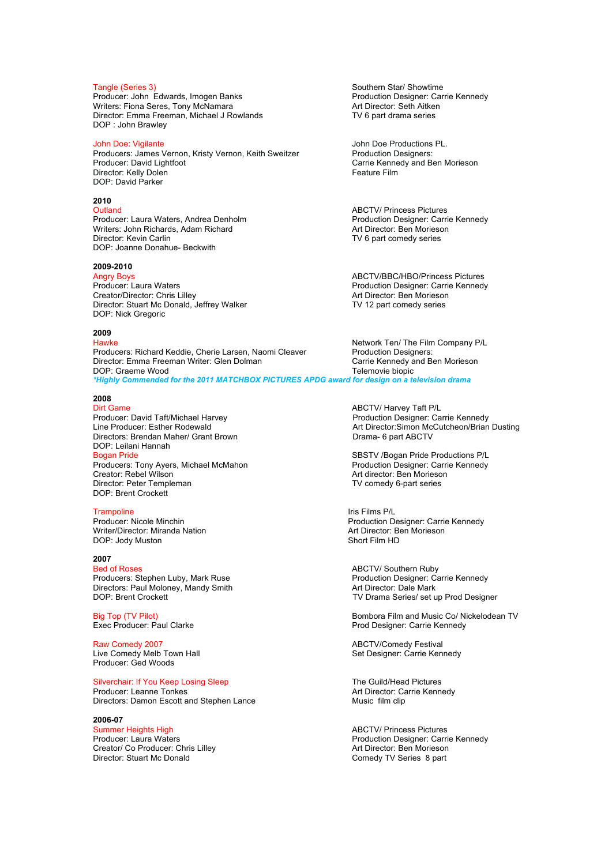Producer: John Edwards, Imogen Banks<br>
Production Designer: Ca<br>
Writers: Fiona Seres, Tony McNamara<br>
Art Director: Seth Aitken Writers: Fiona Seres, Tony McNamara Director: Emma Freeman, Michael J Rowlands TV 6 part drama series DOP : John Brawley

John Doe: Vigilante<br>
Producers: James Vernon, Kristy Vernon, Keith Sweitzer **Group Production Designers:** Producers: James Vernon, Kristy Vernon, Keith Sweitzer<br>Producer: David Lightfoot Director: Kelly Dolen DOP: David Parker

## **2010**

Producer: Laura Waters, Andrea Denholm **Production Designer: Carrie Carrie Andrea Den**<br>Production Designer: Carrie Writers: John Richards, Adam Richard Writers: John Richards, Adam Richard<br>Director: Kevin Carlin DOP: Joanne Donahue- Beckwith

## **2009-2010**

Creator/Director: Chris Lilley Director: Stuart Mc Donald, Jeffrey Walker TV 12 part comedy series DOP: Nick Gregoric

## **2009**

Producers: Richard Keddie, Cherie Larsen, Naomi Cleaver Director: Emma Freeman Writer: Glen Dolman Carrie Kennedy and Ben Morieson DOP: Graeme Wood Telemovie biopic *\*Highly Commended for the 2011 MATCHBOX PICTURES APDG award for design on a television drama*

### **2008**

Dirt Game ABCTV/ Harvey Taft P/L Producer: David Taft/Michael Harvey <br>
Line Producer: Esther Rodewald 
Art Director: Simon McCutcheon/Brian Directors: Brendan Maher/ Grant Brown Directors: Brama- 6 part ABCTV DOP: Leilani Hannah Bogan Pride SBSTV /Bogan Pride Productions P/L Producers: Tony Ayers, Michael McMahon<br>Creator: Rebel Wilson Director: Peter Templeman TV comedy 6-part series DOP: Brent Crockett

Trampoline Iris Films P/L<br>
Producer: Nicole Minchin<br>
Production D

DOP: Jody Muston

## **2007**

Producers: Stephen Luby, Mark Ruse Directors: Paul Moloney, Mandy Smith Art Director: Dale Mark DOP: Brent Crockett DOP: Brent Crockett

Raw Comedy 2007 **ABCTV/Comedy Festival** Live Comedy Melb Town Hall Now and Set Designer: Carrie Kennedy Producer: Ged Woods

Silverchair: If You Keep Losing Sleep The Guild/Head Pictures<br>
Producer: Leanne Tonkes The Guild/Head Pictures<br>
Art Director: Carrie Kenn

Directors: Damon Escott and Stephen Lance

**2006-07**  Summer Heights High **ABCTV/ Princess Pictures**<br>
Producer: Laura Waters<br>
Production Designer: Carri Creator/ Co Producer: Chris Lilley<br>Director: Stuart Mc Donald

Tangle (Series 3)<br>
Producer: John Edwards, Imogen Banks<br>
Producer: John Edwards, Imogen Banks<br>
Southern Star/ Starter: Carrie Kennedy

Carrie Kennedy and Ben Morieson<br>Feature Film

ABCTV/ Princess Pictures<br>Production Designer: Carrie Kennedy TV 6 part comedy series

Angry Boys<br>
Producer: Laura Waters<br>
Producer: Laura Waters
Producer: Carrie Kenned Production Designer: Carrie Kennedy<br>Art Director: Ben Morieson

Network Ten/ The Film Company P/L<br>Production Designers:

Art Director: Simon McCutcheon/Brian Dusting

Art director: Ben Morieson

Production Designer: Carrie Kennedy<br>Art Director: Ben Morieson Writer/Director: Miranda Nation **Art Director: Ben Mories Art Director: Ben Mories Art Director: Ben Mories Art Director: Ben Mories Art Director: Ben Mories Art Director: Ben Mories Art Director: Ben Mories Art Director:** 

> ABCTV/ Southern Ruby<br>Production Designer: Carrie Kennedy TV Drama Series/ set up Prod Designer

Big Top (TV Pilot)<br>
Bombora Film and Music Co/ Nickelodean TV<br>
Prod Designer: Carrie Kennedy Prod Designer: Carrie Kennedy

Art Director: Carrie Kennedy<br>Music film clip

Production Designer: Carrie Kennedy<br>Art Director: Ben Morieson Comedy TV Series 8 part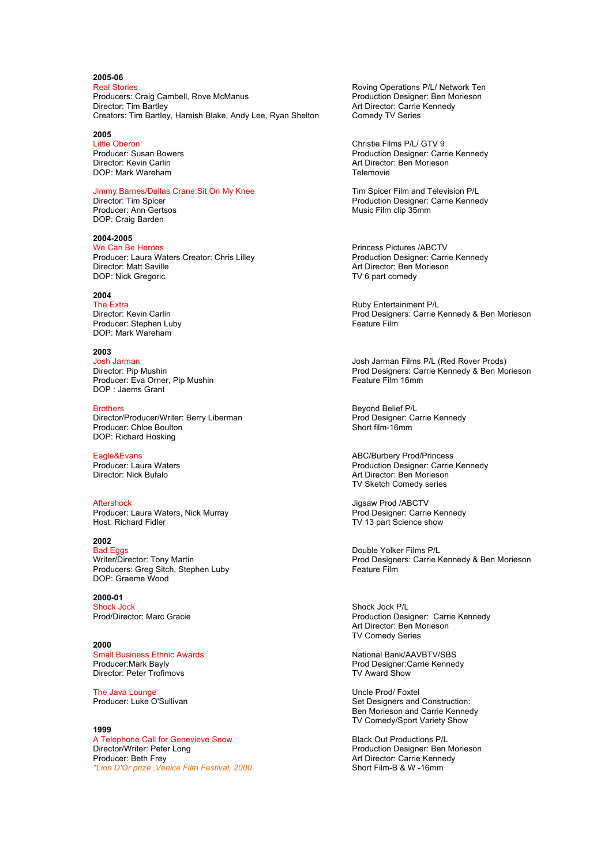## **2005-06**

Producers: Craig Cambell, Rove McManus<br>Director: Tim Bartley Creators: Tim Bartley, Hamish Blake, Andy Lee, Ryan Shelton

**2005**  DOP: Mark Wareham

Producer: Ann Gertsos DOP: Craig Barden

**2004-2005**  Producer: Laura Waters Creator: Chris Lilley<br>Director: Matt Saville DOP: Nick Gregoric

## **2004**

Producer: Stephen Luby DOP: Mark Wareham

**2003**  Producer: Eva Orner, Pip Mushin DOP : Jaems Grant

Brothers<br>
Director/Producer/Writer: Berry Liberman<br>
Prod Designer: Carrie Kennedy Director/Producer/Writer: Berry Liberman Producer: Chloe Boulton Producer: Chloe Boulton Producer: Chloe Boulton Producer: Chloe Boulton DOP: Richard Hosking

Aftershock<br>
Producer: Laura Waters, Nick Murray<br>
Prod Designer: Carrie Kennedy Producer: Laura Waters, Nick Murray<br>Host: Richard Fidler

## **2002**

Pouble Yolker Films P/L<br>
Double Yolker Films P/L<br>
Prod Designers: Carrie K Producers: Greg Sitch, Stephen Luby DOP: Graeme Wood

**2000-01**  Shock Jock<br>
Prod/Director: Marc Gracie<br>
Production Desi

**2000**  Small Business Ethnic Awards<br>
Producer:Mark Bavlv<br>
Prod Designer:Carrie Kenned Director: Peter Trofimovs

The Java Lounge<br>
Producer: Luke O'Sullivan<br>
Producer: Luke O'Sullivan

### **1999**

A Telephone Call for Genevieve Snow **Black Out Productions P/L**<br>Director/Writer: Peter Long Black Out Production Designer: Ben Director/Writer: Peter Long entity and the Control of Production Designer: Ben Morieson<br>Producer: Beth Frey entity Production Designer: Carrie Kennedy \*Lion D'Or prize , Venice Film Festival, 2000

Roving Operations P/L/ Network Ten<br>Production Designer: Ben Morieson Art Director: Carrie Kennedy<br>Comedy TV Series

Little Oberon Christie Films P/L/ GTV 9 Producer: Susan Bowers **Production Designer: Carrie Kennedy**<br>
Director: Kevin Carlin **Production Designer: Carrie Kennedy**<br>
Art Director: Ben Morieson Art Director: Ben Morieson<br>Telemovie

Jimmy Barnes/Dallas Crane:Sit On My Knee The State Tim Spicer Film and Television P/L<br>Director: Tim Spicer Terrie Kennee Production Designer: Carrie Kennedy<br>Music Film clip 35mm

> Princess Pictures /ABCTV<br>Production Designer: Carrie Kennedy Art Director: Ben Morieson<br>TV 6 part comedy

The Extra<br>
Director: Kevin Carlin and The Contract of the Contract Property Ruby Entertainment P/L<br>
Prod Designers: Carrie K Prod Designers: Carrie Kennedy & Ben Morieson<br>Feature Film

Josh Jarman Josh Jarman Films P/L (Red Rover Prods) Prod Designers: Carrie Kennedy & Ben Morieson<br>Feature Film 16mm

Eagle&Evans<br>
Producer: Laura Waters<br>
Producer: Laura Waters<br>
Producer: Carrie Producer: Laura Waters **Production Designer: Carrie Kennedy**<br>
Director: Nick Bufalo<br>
Director: Nick Bufalo Art Director: Ben Morieson TV Sketch Comedy series

TV 13 part Science show

Prod Designers: Carrie Kennedy & Ben Morieson<br>Feature Film

Production Designer: Carrie Kennedy Art Director: Ben Morieson TV Comedy Series

Prod Designer:Carrie Kennedy<br>TV Award Show

Set Designers and Construction: Ben Morieson and Carrie Kennedy TV Comedy/Sport Variety Show

Art Director: Carrie Kennedy<br>Short Film-B & W -16mm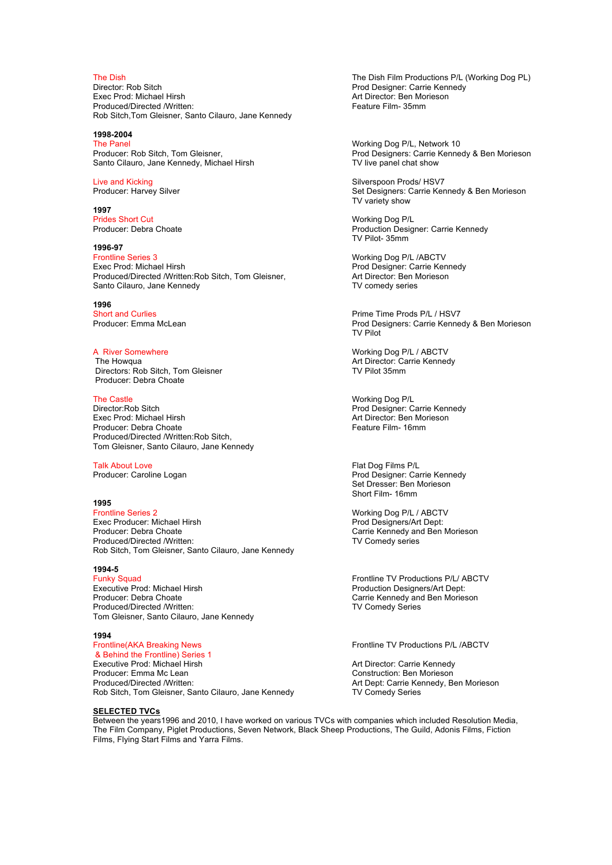Director: Rob Sitch **Prod Designer: Carrie Kennedy**<br>
Fixed Prod: Michael Hirsh **Product Product Art Director: Ben Morieson** Produced/Directed /Written: Rob Sitch,Tom Gleisner, Santo Cilauro, Jane Kennedy

### **1998-2004**

The Panel<br>
Producer: Rob Sitch, Tom Gleisner, The Music Communication of Producer: Rob Sitch, Tom Gleisner, The Music Communication of Producer: Carrie Kenne Santo Cilauro, Jane Kennedy, Michael Hirsh

**1997**  Prides Short Cut **Prides Short Cut** Working Dog P/L<br>Producer: Debra Choate **Mateurs Cut Accord Production Design** 

**1996-97**  Frontline Series 3 Working Dog P/L /ABCTV Produced/Directed /Written:Rob Sitch, Tom Gleisner, Art Director: Ben Morieson Cilauro, Jane Kennedy TV comedy series Santo Cilauro, Jane Kennedy

1996<br>**Short** and Curlies

Directors: Rob Sitch, Tom Gleisner Producer: Debra Choate

Director:Rob Sitch Prod Designer: Carrie Kennedy Producer: Debra Choate Produced/Directed /Written:Rob Sitch, Tom Gleisner, Santo Cilauro, Jane Kennedy

**1995**  Exec Producer: Michael Hirsh<br>Producer: Debra Choate Produced/Directed /Written: TV Comedy series Rob Sitch, Tom Gleisner, Santo Cilauro, Jane Kennedy

**1994-5**  Executive Prod: Michael Hirsh **Production Designers/Art Dept:** Production Designers/Art Dept:<br>
Producer: Debra Choate **Production Designers** Carrie Kennedy and Ben Mories Produced/Directed /Written: TV Comedy Series Tom Gleisner, Santo Cilauro, Jane Kennedy

**1994**  & Behind the Frontline) Series 1 Executive Prod: Michael Hirsh **Art Director: Carrie Kennedy**<br>
Producer: Emma Mc Lean<br>
Producer: Emma Mc Lean Produced/Directed /Written: <br>
Rob Sitch, Tom Gleisner, Santo Cilauro, Jane Kennedy **Art Dept: Carrie Kennedy, Ben Morieson**<br>
TV Comedy Series Rob Sitch, Tom Gleisner, Santo Cilauro, Jane Kennedy

**SELECTED TVCs** 

Between the years1996 and 2010, I have worked on various TVCs with companies which included Resolution Media, The Film Company, Piglet Productions, Seven Network, Black Sheep Productions, The Guild, Adonis Films, Fiction Films, Flying Start Films and Yarra Films.

The Dish<br>
The Dish Film Productions P/L (Working Dog PL)<br>
Prod Designer: Carrie Kennedy Art Director: Ben Morieson<br>Feature Film- 35mm

Prod Designers: Carrie Kennedy & Ben Morieson<br>TV live panel chat show

Live and Kicking Silverspoon Prods/ HSV7<br>
Producer: Harvey Silver Silver Set Designers: Carrie Ker Set Designers: Carrie Kennedy & Ben Morieson TV variety show

> Production Designer: Carrie Kennedy TV Pilot- 35mm

Prod Designer: Carrie Kennedy<br>Art Director: Ben Morieson

Short and Curlies<br>
Prime Time Prods P/L / HSV7<br>
Producer: Emma McLean<br>
Prod Designers: Carrie Kenne Prod Designers: Carrie Kennedy & Ben Morieson TV Pilot

A River Somewhere **A River Somewhere** Working Dog P/L / ABCTV 7he Howaua<br>The Howaua **Markov Account Account Account Account Account Account Account Account Account Account Account Accoun** Art Director: Carrie Kennedy<br>TV Pilot 35mm

The Castle **The Castle Working Dog P/L**<br>
Director:Rob Sitch **The Castle Sitch Act 2009**<br>
Prod Designer: C Art Director: Ben Morieson<br>Feature Film- 16mm

Talk About Love **Films P/L**<br>
Producer: Caroline Logan **Films P/L**<br>
Producer: Caroline Logan Prod Designer: Carrie Kennedy Set Dresser: Ben Morieson Short Film- 16mm

> Working Dog P/L / ABCTV<br>Prod Designers/Art Dept: Carrie Kennedy and Ben Morieson

Funky Squad Funky Squad Funky Squad Frontline TV Productions P/L/ ABCTV Frontline TV Productions P/L/ ABCTV Functions P/L/ ABCTV Functions Productions Productions Productions Productions Productions Production Designers/Ar Carrie Kennedy and Ben Morieson

Frontline TV Productions P/L /ABCTV

Construction: Ben Morieson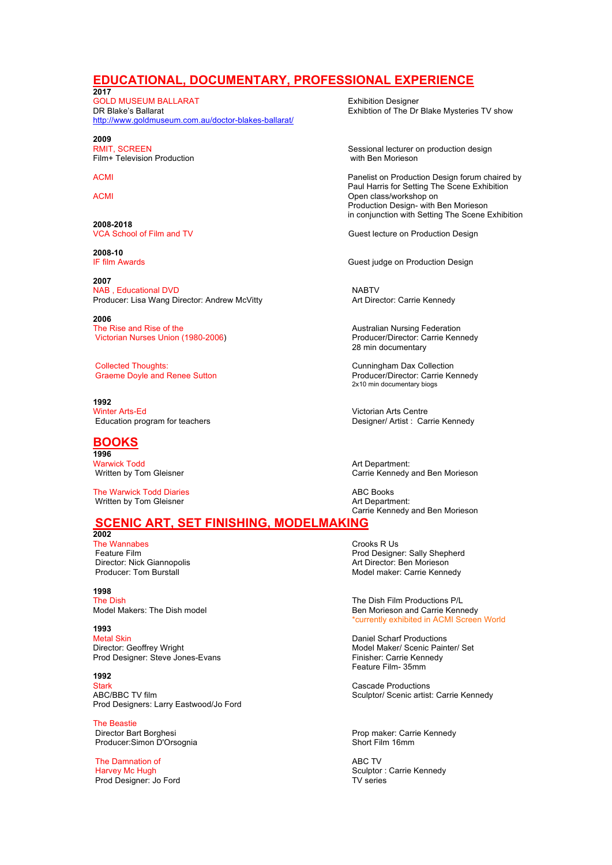## **EDUCATIONAL, DOCUMENTARY, PROFESSIONAL EXPERIENCE**

**2017**  GOLD MUSEUM BALLARAT Exhibition Designer http://www.goldmuseum.com.au/doctor-blakes-ballarat/

**2009**  Film+ Television Production

2008-2018<br>VCA School of Film and TV

**2008-10**

**2007**  NAB, Educational DVD<br>
Producer: Lisa Wang Director: Andrew McVitty **NABT** MABTV<br>
Art Director: Carrie Kennedy Producer: Lisa Wang Director: Andrew McVitty

**2006**  The Rise and Rise of the Australian School and Rise of the Australian Nursing Federation<br>
Victorian Nurses Union (1980-2006) Channel School and Australian Producer/Director: Carrie Kennedy Victorian Nurses Union (1980-2006)

Collected Thoughts: Cunningham Dax Collection Graeme Doyle and Renee Sutton

**1992** Winter Arts-Ed Victorian Arts Centre

## **BOOKS**

**1996**  Marwick Todd<br>
Warwick Todd<br>
Written by Tom Gleisner<br>
Art Department: Carrie Kennedy

The Warwick Todd Diaries<br>
Written by Tom Gleisner<br>
Written by Tom Gleisner Written by Tom Gleisner

### **SCENIC ART, SET FINISHING, MODELMAKING 2002**

The Wannabes<br>
Feature Film<br>
Feature Film Director: Nick Giannopolis<br>
Producer: Tom Burstall<br>
Producer: Tom Burstall

**1998** 

## **1993**

Metal Skin **Metal Skin Community Community** Daniel Scharf Productions<br>
Director: Geoffrey Wright **Community Community Community Community** Model Maker/ Scenic Pain Prod Designer: Steve Jones-Evans

**1992** 

Stark Cascade Productions<br>
ABC/BBC TV film 
ABC/BBC TV film Prod Designers: Larry Eastwood/Jo Ford

**The Beastie<br>Director Bart Borghesi** Producer:Simon D'Orsognia

The Damnation of **ABC TV**<br>
Harvev Mc Hugh **ABC TV** Prod Designer: Jo Ford

Exhibtion of The Dr Blake Mysteries TV show

Sessional lecturer on production design<br>with Ben Morieson

ACMI **ACMI** Panelist on Production Design forum chaired by Paul Harris for Setting The Scene Exhibition ACMI Open class/workshop on Production Design- with Ben Morieson in conjunction with Setting The Scene Exhibition

Guest lecture on Production Design

Guest judge on Production Design

28 min documentary

2x10 min documentary biogs

Designer/ Artist : Carrie Kennedy

Carrie Kennedy and Ben Morieson

Carrie Kennedy and Ben Morieson

Feature Film<br>
Director: Nick Giannopolis<br>
Director: Nick Giannopolis<br>
2001 - Prod Designer: Sally Shepherd<br>
Art Director: Ben Morieson Model maker: Carrie Kennedy

The Dish The Dish Film Productions P/L Model Makers: The Dish model **Ben Morieson and Carrie Kennedy** Ben Morieson and Carrie Kennedy \*currently exhibited in ACMI Screen World

> Model Maker/ Scenic Painter/ Set<br>Finisher: Carrie Kennedy Feature Film- 35mm

Sculptor/ Scenic artist: Carrie Kennedy

Prop maker: Carrie Kennedy<br>Short Film 16mm

Sculptor : Carrie Kennedy<br>TV series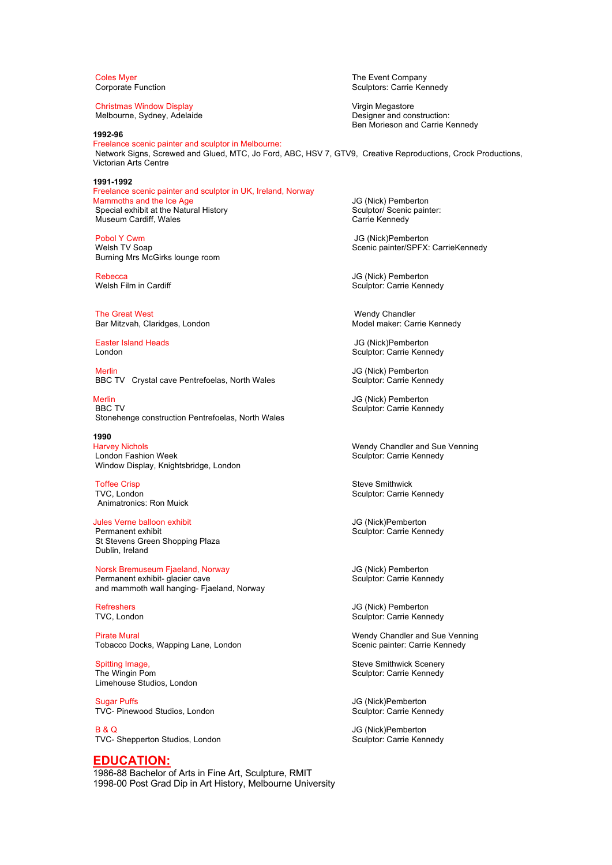Christmas Window Display **Virgin Megastore** Virgin Megastore Melbourne, Sydney, Adelaide **Designer and construction:** 

**1992-96** 

Freelance scenic painter and sculptor in Melbourne: Network Signs, Screwed and Glued, MTC, Jo Ford, ABC, HSV 7, GTV9, Creative Reproductions, Crock Productions, Victorian Arts Centre

**1991-1992**  Freelance scenic painter and sculptor in UK, Ireland, Norway Mammoths and the Ice Age JG (Nick) Pemberton<br>
Special exhibit at the Natural History<br>
Sculptor/ Scenic painter: Special exhibit at the Natural History Sculptor/ Scenic painter: Sculptor/ Scenic<br>Museum Cardiff, Wales states: Sculptor: Scarrie Kennedy Museum Cardiff, Wales

Pobol Y Cwm JG (Nick)Pemberton Burning Mrs McGirks lounge room

The Great West<br>
The Great West West Changes, London<br>
Bar Mitzvah, Claridges, London<br>
Wedel maker: Carrie Kennedy Bar Mitzvah, Claridges, London

Easter Island Heads **JG** (Nick)Pemberton

Merlin JG (Nick) Pemberton<br>BBC TV Crystal cave Pentrefoelas, North Wales Sculptor: Carrie Kennedy BBC TV Crystal cave Pentrefoelas, North Wales

Merlin JG (Nick) Pemberton<br>RBC TV Sculptor: Carrie Kenn Stonehenge construction Pentrefoelas, North Wales

**1990**  Harvey Nichols **Matter and Sue Venetical Chandler and Sue Venning**<br>
London Fashion Week **Matter and Sue Venning**<br>
Sculptor: Carrie Kennedy Window Display, Knightsbridge, London

Toffee Crisp Communication of the Crisis of the Steve Smithwick<br>TVC. London Communication Sculptor: Carrie New Sculptor: Carrie New Sculptor: Carrie New Sculptor: Carrie New Sculptor: Carrie New Sculptor: Carrie New Sculpt Animatronics: Ron Muick

Jules Verne balloon exhibit **Jules Verne balloon exhibit** Jules Verne balloon exhibit Jules Culptor: Carrie Keni<br>Permanent exhibit St Stevens Green Shopping Plaza Dublin, Ireland

Norsk Bremuseum Fjaeland, Norway **JG (Nick) Pemberton**<br>
Permanent exhibit- glacier cave **JG (Nick)** Sculptor: Carrie Kennedy Permanent exhibit- glacier cave and mammoth wall hanging- Fjaeland, Norway

Pirate Mural Wendy Chandler and Sue Venning Tobacco Docks, Wapping Lane, London Scenic painter: Carrie Kennedy

Spitting Image, Steve Smithwick Scenery<br>
The Wingin Pom Sculptor: Carrie Kennedy Limehouse Studios, London

Sugar Puffs **JG** (Nick)Pemberton TVC- Pinewood Studios, London Sculptor: Carrie Kennedy

B & Q JG (Nick)Pemberton TVC- Shepperton Studios, London Sunnedy Sculptor: Carrie Kennedy

### **EDUCATION:**

1986-88 Bachelor of Arts in Fine Art, Sculpture, RMIT 1998-00 Post Grad Dip in Art History, Melbourne University

Coles Myer<br>Corporate Function<br>Corporate Function Sculptors: Carrie Kennedy

Ben Morieson and Carrie Kennedy

Scenic painter/SPFX: CarrieKennedy

Rebecca **Guide Controller Section Act of Controller** Sculptor: Carrie Kenn<br>Melsh Film in Cardiff **Controller Controller Sculptor: Carrie Kenn** Sculptor: Carrie Kennedy

London **Sculptor: Carrie Kennedy** Sculptor: Carrie Kennedy

Sculptor: Carrie Kennedy

Sculptor: Carrie Kennedy

Sculptor: Carrie Kennedy

Sculptor: Carrie Kennedy

Politics Active Services Active Services and Manuscript Controller Services Active Services Active Services Active<br>TVC, London Controller Services Active Services Active Services Active Services Active Services Active Serv Sculptor: Carrie Kennedy

Sculptor: Carrie Kennedy